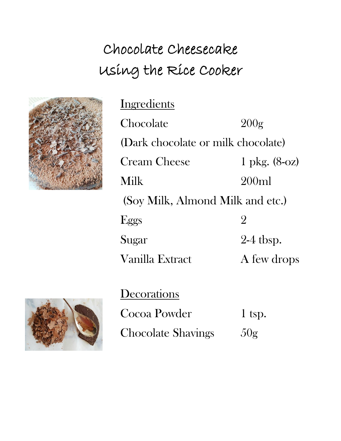## Chocolate Cheesecake Using the Rice Cooker



**Ingredients** 

Chocolate 200g (Dark chocolate or milk chocolate) Cream Cheese 1 pkg. (8-oz) Milk 200ml (Soy Milk, Almond Milk and etc.) Eggs  $2$ Sugar 2-4 tbsp. Vanilla Extract A few drops

**Decorations** 

Cocoa Powder 1 tsp.

Chocolate Shavings 50g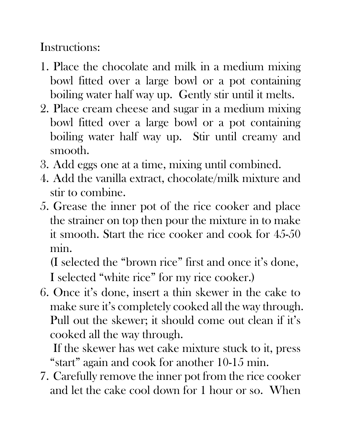Instructions:

- 1. Place the chocolate and milk in a medium mixing bowl fitted over a large bowl or a pot containing boiling water half way up. Gently stir until it melts.
- 2. Place cream cheese and sugar in a medium mixing bowl fitted over a large bowl or a pot containing boiling water half way up. Stir until creamy and smooth.
- 3. Add eggs one at a time, mixing until combined.
- 4. Add the vanilla extract, chocolate/milk mixture and stir to combine.
- 5. Grease the inner pot of the rice cooker and place the strainer on top then pour the mixture in to make it smooth. Start the rice cooker and cook for 45-50 min.

(I selected the "brown rice" first and once it's done, I selected "white rice" for my rice cooker.)

6. Once it's done, insert a thin skewer in the cake to make sure it's completely cooked all the way through. Pull out the skewer; it should come out clean if it's cooked all the way through.

If the skewer has wet cake mixture stuck to it, press "start" again and cook for another 10-15 min.

7. Carefully remove the inner pot from the rice cooker and let the cake cool down for 1 hour or so. When